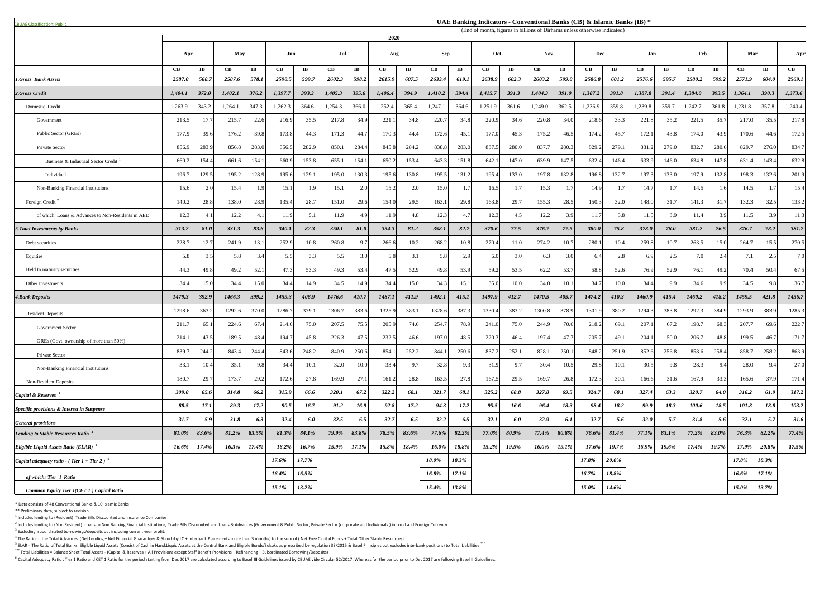| <b>CBUAE Classification: Public</b>                       |                                                                                   |                         |                        |                        |                      |                        |                      |                        |                        |                        |               |                        |          |                         |                   |                       | UAE Banking Indicators - Conventional Banks (CB) & Islamic Banks (IB) * |                        |            |             |                      |                        |               |                        |               |
|-----------------------------------------------------------|-----------------------------------------------------------------------------------|-------------------------|------------------------|------------------------|----------------------|------------------------|----------------------|------------------------|------------------------|------------------------|---------------|------------------------|----------|-------------------------|-------------------|-----------------------|-------------------------------------------------------------------------|------------------------|------------|-------------|----------------------|------------------------|---------------|------------------------|---------------|
|                                                           | (End of month, figures in billions of Dirhams unless otherwise indicated)<br>2020 |                         |                        |                        |                      |                        |                      |                        |                        |                        |               |                        |          |                         |                   |                       |                                                                         |                        |            |             |                      |                        |               |                        |               |
|                                                           | Apr                                                                               |                         | May                    |                        | Jul<br>Jun           |                        | Aug                  |                        |                        | <b>Sep</b>             |               | Oct                    |          |                         | <b>Nov</b><br>Dec |                       |                                                                         |                        | Feb<br>Jan |             | Mar                  |                        | Apr           |                        |               |
|                                                           | $\mathbf C\mathbf B$                                                              | $\mathbf{I} \mathbf{B}$ | $\mathbf{C}\mathbf{B}$ | $\mathbf{I}\mathbf{B}$ | $\mathbf C\mathbf B$ | $\mathbf{I}\mathbf{B}$ | $\mathbf C\mathbf B$ | $\mathbf{I}\mathbf{B}$ | $\mathbf{C}\mathbf{B}$ | $\mathbf{I}\mathbf{B}$ | $\mathbf{CB}$ | $\mathbf{I}\mathbf{B}$ | CB       | $\mathbf{I} \mathbf{B}$ | CB                | $\mathbf{I}$ <b>B</b> | $\mathbf{C}\mathbf{B}$                                                  | $\mathbf{I}\mathbf{B}$ | CB         | $\bf{IB}$   | $\mathbf C\mathbf B$ | $\mathbf{I}\mathbf{B}$ | $\mathbf{CB}$ | $\mathbf{I}\mathbf{B}$ | $\mathbf{CB}$ |
| <b>1.Gross Bank Assets</b>                                | 2587.0                                                                            | 568.7                   | 2587.6                 | 578.1                  | 2590.5               | 599.7                  | 2602.3               | 598.2                  | 2615.9                 | 607.5                  | 2633.4        | 619.1                  | 2638.9   | 602.3                   | 2603.2            | 599.0                 | 2586.8                                                                  | 601.2                  | 2576.6     | 595.7       | 2580.2               | 599.2                  | 2571.9        | 604.0                  | 2569.1        |
| 2.Gross Credit                                            | 1,404.1                                                                           | 372.0                   | 1,402.1                | 376.2                  | 1,397.7              | 393.3                  | 1,405.3              | 395.6                  | 1,406.4                | 394.9                  | 1,410.2       | 394.4                  | 1,415.7  | 391.3                   | 1,404.3           | 391.0                 | 1,387.2                                                                 | 391.8                  | 1,387.8    | 391.4       | 1,384.0              | 393.5                  | 1,364.1       | 390.3                  | 1,373.6       |
| Domestic Credit                                           | 1,263.9                                                                           | 343.2                   | 1,264.1                | 347.3                  | 1,262.3              | 364.6                  | 1,254.3              | 366.0                  | 1,252.4                | 365.4                  | 1,247.1       | 364.6                  | 1,251.9  | 361.6                   | 1,249.0           | 362.5                 | 1,236.9                                                                 | 359.8                  | 1,239.8    | 359.7       | 1,242.7              | 361.8                  | 1,231.8       | 357.8                  | 1,240.4       |
| Government                                                | 213.5                                                                             | 17.7                    | 215.7                  | 22.6                   | 216.9                | 35.5                   | 217.8                | 34.9                   | 221.1                  | 34.8                   | 220.7         | 34.8                   | 220.9    | 34.6                    | 220.8             | 34.0                  | 218.6                                                                   | 33.3                   | 221.8      | 35.2        | 221.5                | 35.7                   | 217.0         | 35.5                   | 217.8         |
| Public Sector (GREs)                                      | 177.9                                                                             | 39.6                    | 176.2                  | 39.8                   | 173.8                | 44.3                   | 171.3                | 44.7                   | 170.3                  | 44.4                   | 172.6         | 45.1                   | 177.0    | 45.3                    | 175.2             | 46.5                  | 174.2                                                                   | 45.7                   | 172.1      | 43.8        | 174.0                | 43.9                   | 170.6         | 44.6                   | 172.5         |
| Private Sector                                            | 856.9                                                                             | 283.9                   | 856.8                  | 283.0                  | 856.5                | 282.9                  | 850.                 | 284.4                  | 845.8                  | 284.2                  | 838.8         | 283.0                  | 837.5    | 280.                    | 837.7             | 280.3                 | 829.2                                                                   | 279.                   | 831.2      | 279.0       | 832.                 | 280.6                  | 829.7         | 276.0                  | 834.          |
| Business & Industrial Sector Credit                       | 660.2                                                                             | 154.4                   | 661.6                  | 154.1                  | 660.9                | 153.8                  | 655.                 | 154.1                  | 650.2                  | 153.4                  | 643.3         | 151.8                  | 642.     | 147.0                   | 639.9             | 147.5                 | 632.4                                                                   | 146.4                  | 633.9      | 146.0       | 634.8                | 147.8                  | 631.4         | 143.4                  | 632.8         |
| Individual                                                | 196.7                                                                             | 129.5                   | 195.2                  | 128.9                  | 195.6                | 129.1                  | 195.0                | 130.3                  | 195.6                  | 130.8                  | 195.5         | 131.2                  | 195.4    | 133.0                   | 197.8             | 132.8                 | 196.8                                                                   | 132.7                  | 197.3      | 133.0       | 197.9                | 132.8                  | 198.3         | 132.6                  | 201.9         |
| Non-Banking Financial Institutions                        | 15.6                                                                              | 2.0                     | 15.4                   |                        | 15.1                 |                        | 15.1                 | 2.0                    | 15.2                   |                        | 15.0          |                        | 16.5     |                         | 15.3              |                       | 14.9                                                                    |                        | 14.7       |             | 14.5                 | 1.6                    | 14.5          |                        | 15.4          |
| Foreign Credit <sup>2</sup>                               | 140.2                                                                             | 28.8                    | 138.0                  | 28.9                   | 135.4                | 28.7                   | 151.0                | 29.6                   | 154.0                  | 29.5                   | 163.1         | 29.8                   | 163.8    | 29.                     | 155.3             | 28.5                  | 150.3                                                                   | 32.0                   | 148.0      | 31.7        | 141.                 | 31.7                   | 132.3         | 32.5                   | 133.2         |
| of which: Loans & Advances to Non-Residents in AED        | 12.3                                                                              | 4.1                     | 12.2                   |                        | 11.9                 | 5.                     | 11.9                 | 4.9                    | 11.9                   |                        | 12.3          | 4.7                    | 12.3     |                         | 12.2              | 3.9                   | 11.7                                                                    | 3.8                    | 11.5       | 3.9         | $\pm 1.4$            | 3.9                    | 11.5          | 3.9                    |               |
| <b>3. Total Investments by Banks</b>                      | 313.2                                                                             | 81.0                    | 331.3                  | 83.6                   | 340.1                | 82.3                   | 350.1                | 81.0                   | 354.3                  | 81.2                   | 358.1         | 82.7                   | 370.6    | 77.5                    | 376.7             | 77.5                  | 380.0                                                                   | 75.8                   | 378.0      | <b>76.0</b> | 381.2                | 76.5                   | 376.7         | 78.2                   | 381.7         |
| Debt securities                                           | 228.7                                                                             | 12.7                    | 241.                   | 13.1                   | 252.9                | 10.8                   | 260.8                | 9.                     | 266.6                  | 10.2                   | 268.2         | 10.8                   | 270.4    | 11.0                    | 274.2             | 10.7                  | 280.1                                                                   |                        | 259.8      | 10.7        | 263.5                | 15.0                   | 264.7         | 15.5                   | 270.5         |
| Equities                                                  | 5.8                                                                               |                         | 5.8                    |                        | 5.5                  | 33                     | 5.5                  | 3.0                    | 5.8                    |                        | 5.8           | 2.9                    | 6.0      |                         | 6.3               | 3.0                   |                                                                         | 2.8                    | 6.9        | 2.5         | 7.0                  | 2.4                    |               | 2.5                    |               |
| Held to maturity securities                               | 44.3                                                                              | 49.8                    | 49.2                   | 52.1                   | 47.3                 | 53.3                   | 49.3                 | 53.4                   | 47.5                   | 52.9                   | 49.8          | 53.9                   | 59.2     | 53.5                    | 62.2              | 53.7                  | 58.8                                                                    | 52.6                   | 76.9       | 52.9        | 76.1                 | 49.2                   | 70.4          | 50.4                   | 67.5          |
| Other Investments                                         | 34.4                                                                              | 15.0                    | 34.4                   | 15.0                   | 34.4                 | 14.9                   | 34.5                 | 14.9                   | 34.4                   | 15.0                   | 34.3          | 15.                    | 35.0     | 10.0                    | 34.0              | 10.1                  | 34.7                                                                    | 10.0                   | 34.4       | 9.9         | 34.6                 | 9.9                    | 34.5          | 9.8                    | 36.7          |
| <b>4.Bank Deposits</b>                                    | 1479.3                                                                            | 392.9                   | 1466.3                 | 399.2                  | 1459.3               | 406.9                  | 1476.6               | 410.7                  | 1487.1                 | 411.9                  | 1492.1        | 415.1                  | 1497.9   | 412.7                   | 1470.5            | 405.7                 | 1474.2                                                                  | 410.3                  | 1460.9     | 415.4       | 1460.2               | 418.2                  | 1459.5        | 421.8                  | 1456.7        |
| <b>Resident Deposits</b>                                  | 1298.6                                                                            | 363.2                   | 1292.6                 | 370.0                  | 1286.7               | 379.1                  | 1306.7               | 383.6                  | 1325.9                 | 383.1                  | 1328.6        | 387.3                  | 1330.4   | 383.                    | 1300.8            | 378.9                 | 1301.9                                                                  | 380.2                  | 1294.3     | 383.8       | 1292.3               | 384.                   | 1293.9        | 383.9                  | 1285.3        |
| Government Sector                                         | 211.7                                                                             | 65.                     | 224.6                  | 67.4                   | 214.0                | 75.0                   | 207.5                | 75.5                   | 205.9                  | 74.6                   | 254.7         | 78.9                   | 241.0    | 75.0                    | 244.9             | 70.6                  | 218.2                                                                   | 69.1                   | 207.1      | 67.2        | 198.7                | 68.3                   | 207.7         | 69.6                   | 222.7         |
| GREs (Govt. ownership of more than 50%)                   | 214.                                                                              | 43.5                    | 189.5                  | 48.4                   | 194.7                | 45.8                   | 226.3                | 47.5                   | 232.5                  | 46.6                   | 197.          | 48.5                   | 220.3    | 46.4                    | 197.4             | 47.7                  | 205.7                                                                   | 49.1                   | 204.1      | 50.0        | 206.7                | 48.8                   | 199.5         | 46.7                   | 171.          |
| Private Sector                                            | 839.7                                                                             | 244.2                   | 843.4                  | 244.4                  | 843.6                | 248.2                  | 840.9                | 250.6                  | 854.                   | 252.2                  | 844.1         | 250.61                 | 837.2    | 252.                    | 828.1             | 250.1                 | 848.2                                                                   | 251.9                  | 852.6      | 256.8       | 858.6                | 258.4                  | 858.          | 258.2                  | 863.9         |
| Non-Banking Financial Institutions                        | 33.                                                                               | 10.4                    | 35.1                   |                        | 34.4                 |                        | 32.0                 | 10.0                   | 33.4                   |                        | 32.8          | 9.3                    | 31.9     |                         | 30.4              | 10.5                  | 29.8                                                                    |                        | 30.5       | 98          | 28.3                 |                        | 28.0          | $Q \Delta$             | 27.0          |
| Non-Resident Deposits                                     | 180.7                                                                             | 29.                     | 173.7                  | 29.2                   | 172.6                | 27.8                   | 169.9                | 27.1                   | 161.2                  | 28.8                   | 163.5         | 27.8                   | 167.5    | 29.5                    | 169.              | 26.8                  | 172.3                                                                   | 30.1                   | 166.6      | 31.6        | 167.9                | 33.3                   | 165.6         | 37.9                   | 171.4         |
| <i>Capital &amp; Reserves</i> $3$                         | 309.0                                                                             | 65.6                    | 314.8                  | 66.2                   | 315.9                | 66.6                   | 320.1                | 67.2                   | 322.2                  | 68.1                   | 321.7         | 68.1                   | 325.2    | 68.8                    | 327.8             | 69.5                  | 324.7                                                                   | 68.1                   | 327.4      | 63.3        | 320.7                | 64.0                   | 316.2         | 61.9                   | 317.2         |
| Specific provisions & Interest in Suspense                | 88.5                                                                              | <i>17.1</i>             | 89.3                   | 17.2                   | 90.5                 | 16.7                   | 91.2                 | 16.9                   | 92.8                   | 17.2                   | 94.3          | 17.2                   | 95.5     | 16.6                    | 96.4              | 18.3                  | 98.4                                                                    | 18.2                   | 99.9       | 18.3        | 100.6                | 18.5                   | 101.8         | 18.8                   | 103.2         |
| <b>General provisions</b>                                 | 31.7                                                                              | 5.9                     | 31.8                   | 6.3                    | 32.4                 | 6.0                    | 32.5                 | 6.5                    | 32.7                   | 6.5                    | 32.2          | 6.5                    | 32.1     | 6.0                     | 32.9              | 6.1                   | 32.7                                                                    | 5.6                    | 32.0       | 5.7         | 31.8                 | 5.6                    | 32.1          | 5.7                    | 31.6          |
| Lending to Stable Resources Ratio <sup>4</sup>            | 81.0%                                                                             | 83.6%                   | 81.2%                  | 83.5%                  | 81.3%                | 84.1%                  | 79.9%                | 83.8%                  | 78.5%                  | 83.6%                  | $77.6\%$      | $82.2\%$               | 77.0%    | 80.9%                   | $77.4\%$          | $80.8\%$              | $76.6\%$                                                                | $81.4\%$               | $77.1\%$   | $83.1\%$    | $77.2\%$             | 83.0%                  | $76.3\%$      | 82.2%                  | 77.4%         |
| <i>Eligible Liquid Assets Ratio (ELAR)</i> $5$            | $16.6\%$                                                                          | 17.4%                   | 16.3%                  | 17.4%                  | 16.2%                | 16.7%                  | 15.9%                | 17.1%                  | 15.8%                  | 18.4%                  | 16.0%         | 18.8%                  | $15.2\%$ | 19.5%                   | 16.0%             | 19.1%                 | 17.6%                                                                   | 19.7%                  | 16.9%      | 19.6%       | 17.4%                | 19.7%                  | 17.9%         | $20.8\%$               | 17.5%         |
| Capital adequacy ratio - (Tier $1 +$ Tier 2) <sup>6</sup> |                                                                                   |                         |                        |                        | 17.6%                | 17.7%                  |                      |                        |                        |                        | 18.0%         | 18.3%                  |          |                         |                   |                       | 17.8%                                                                   | $20.0\%$               |            |             |                      |                        | 17.8%         | 18.3%                  |               |
| of which: Tier 1 Ratio                                    |                                                                                   |                         |                        |                        | $16.4\%$             | 16.5%                  |                      |                        |                        |                        | $16.8\%$      | $17.1\%$               |          |                         |                   |                       | $16.7\%$                                                                | 18.8%                  |            |             |                      |                        | 16.6%         | 17.1%                  |               |
| Common Equity Tier 1(CET 1) Capital Ratio                 |                                                                                   |                         |                        |                        | $15.1\%$             | 13.2%                  |                      |                        |                        |                        | 15.4%         | 13.8%                  |          |                         |                   |                       | 15.0%                                                                   | 14.6%                  |            |             |                      |                        | 15.0%         | 13.7%                  |               |
|                                                           |                                                                                   |                         |                        |                        |                      |                        |                      |                        |                        |                        |               |                        |          |                         |                   |                       |                                                                         |                        |            |             |                      |                        |               |                        |               |

\* Data consists of 48 Conventional Banks & 10 Islamic Banks

\*\* Preliminary data, subject to revision

 $<sup>1</sup>$  Includes lending to (Resident): Trade Bills Discounted and Insurance Companies</sup>

 $^2$  Includes lending to (Non Resident): Loans to Non Banking Financial Institutions, Trade Bills Discounted and Loans & Advances (Government & Public Sector, Private Sector (corporate and Individuals) in Local and Foreig  $3$  Excluding subordinated borrowings/deposits but including current year profit.

 $^4$  The Ratio of the Total Advances (Net Lending + Net Financial Guarantees & Stand -by LC + Interbank Placements more than 3 months) to the sum of (Net Free Capital Funds + Total Other Stable Resources)

<sup>5</sup> ELAR = The Ratio of Total Banks' Eligible Liquid Assets (Consist of Cash in Hand,Liquid Assets at the Central Bank and Eligible Bonds/Sukuks as prescribed by regulation 33/2015 & Basel Principles but excludes interbank \*\*\* Total Liabilities = Balance Sheet Total Assets - (Capital & Reserves + All Provisions except Staff Benefit Provisions + Refinancing + Subordinated Borrowing/Deposits)

<sup>6</sup> Capital Adequacy Ratio, Tier 1 Ratio and CET 1 Ratio for the period starting from Dec 2017 are calculated according to Basel III Guidelines issued by CBUAE vide Circular 52/2017. Whereas for the period prior to Dec 201